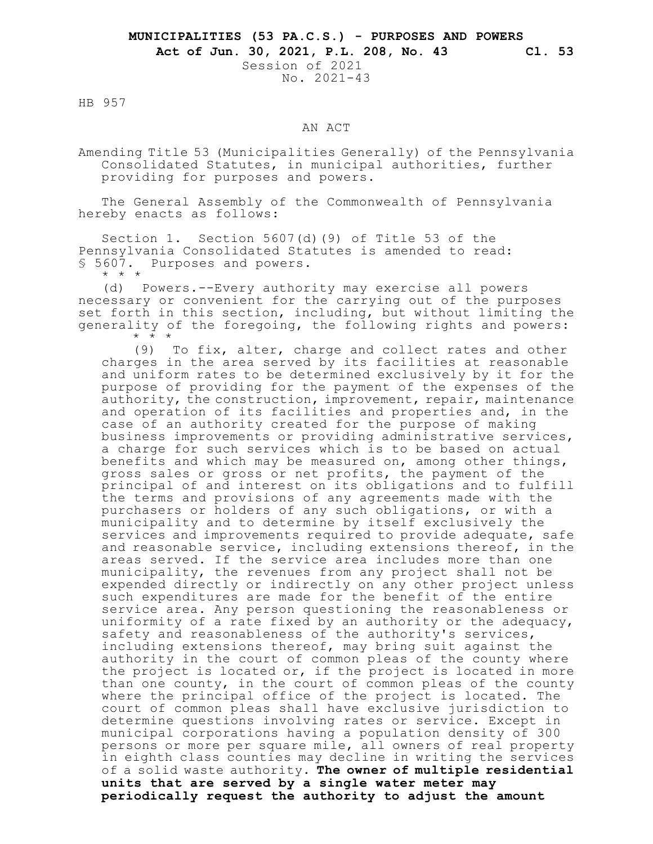Session of 2021 No. 2021-43

HB 957

## AN ACT

Amending Title 53 (Municipalities Generally) of the Pennsylvania Consolidated Statutes, in municipal authorities, further providing for purposes and powers.

The General Assembly of the Commonwealth of Pennsylvania hereby enacts as follows:

Section 1. Section 5607(d)(9) of Title 53 of the Pennsylvania Consolidated Statutes is amended to read: § 5607. Purposes and powers. \* \* \*

(d) Powers.--Every authority may exercise all powers necessary or convenient for the carrying out of the purposes set forth in this section, including, but without limiting the generality of the foregoing, the following rights and powers: \* \* \*

(9) To fix, alter, charge and collect rates and other charges in the area served by its facilities at reasonable and uniform rates to be determined exclusively by it for the purpose of providing for the payment of the expenses of the authority, the construction, improvement, repair, maintenance and operation of its facilities and properties and, in the case of an authority created for the purpose of making business improvements or providing administrative services, a charge for such services which is to be based on actual benefits and which may be measured on, among other things, gross sales or gross or net profits, the payment of the principal of and interest on its obligations and to fulfill the terms and provisions of any agreements made with the purchasers or holders of any such obligations, or with a municipality and to determine by itself exclusively the services and improvements required to provide adequate, safe and reasonable service, including extensions thereof, in the areas served. If the service area includes more than one municipality, the revenues from any project shall not be expended directly or indirectly on any other project unless such expenditures are made for the benefit of the entire service area. Any person questioning the reasonableness or uniformity of a rate fixed by an authority or the adequacy, safety and reasonableness of the authority's services, including extensions thereof, may bring suit against the authority in the court of common pleas of the county where the project is located or, if the project is located in more than one county, in the court of common pleas of the county where the principal office of the project is located. The court of common pleas shall have exclusive jurisdiction to determine questions involving rates or service. Except in municipal corporations having a population density of 300 persons or more per square mile, all owners of real property in eighth class counties may decline in writing the services of a solid waste authority. **The owner of multiple residential units that are served by a single water meter may periodically request the authority to adjust the amount**